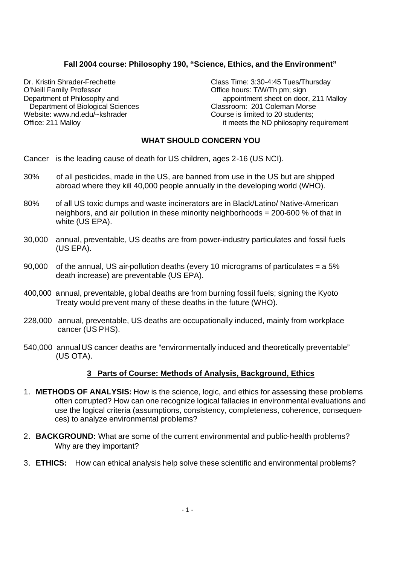# **Fall 2004 course: Philosophy 190, "Science, Ethics, and the Environment"**

O'Neill Family Professor **Communist Contract Contract Contract Contract Contract Contract Contract Contract Contract Contract Contract Contract Contract Contract Contract Contract Contract Contract Contract Contract Contra** Department of Biological Sciences Website: www.nd.edu/~kshrader Course is limited to 20 students:

Dr. Kristin Shrader-Frechette Class Time: 3:30-4:45 Tues/Thursday Department of Philosophy and appointment sheet on door, 211 Malloy<br>Department of Biological Sciences Classroom: 201 Coleman Morse Office: 211 Malloy it meets the ND philosophy requirement

### **WHAT SHOULD CONCERN YOU**

- Cancer is the leading cause of death for US children, ages 2-16 (US NCI).
- 30% of all pesticides, made in the US, are banned from use in the US but are shipped abroad where they kill 40,000 people annually in the developing world (WHO).
- 80% of all US toxic dumps and waste incinerators are in Black/Latino/ Native-American neighbors, and air pollution in these minority neighborhoods = 200-600 % of that in white (US EPA).
- 30,000 annual, preventable, US deaths are from power-industry particulates and fossil fuels (US EPA).
- 90,000 of the annual, US air-pollution deaths (every 10 micrograms of particulates = a 5% death increase) are preventable (US EPA).
- 400,000 annual, preventable, global deaths are from burning fossil fuels; signing the Kyoto Treaty would prevent many of these deaths in the future (WHO).
- 228,000 annual, preventable, US deaths are occupationally induced, mainly from workplace cancer (US PHS).
- 540,000 annual US cancer deaths are "environmentally induced and theoretically preventable" (US OTA).

#### **3 Parts of Course: Methods of Analysis, Background, Ethics**

- 1. **METHODS OF ANALYSIS:** How is the science, logic, and ethics for assessing these problems often corrupted? How can one recognize logical fallacies in environmental evaluations and use the logical criteria (assumptions, consistency, completeness, coherence, consequences) to analyze environmental problems?
- 2. **BACKGROUND:** What are some of the current environmental and public-health problems? Why are they important?
- 3. **ETHICS:** How can ethical analysis help solve these scientific and environmental problems?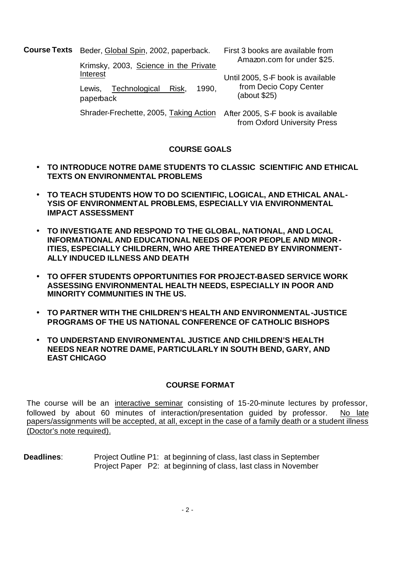**Course Texts** Beder, Global Spin, 2002, paperback.

Interest

paperback

Krimsky, 2003, Science in the Private

Lewis, Technological Risk, 1990,

First 3 books are available from Amazon.com for under \$25.

Until 2005, S-F book is available from Decio Copy Center (about \$25)

Shrader-Frechette, 2005, Taking Action After 2005, S-F book is available from Oxford University Press

# **COURSE GOALS**

- **TO INTRODUCE NOTRE DAME STUDENTS TO CLASSIC SCIENTIFIC AND ETHICAL TEXTS ON ENVIRONMENTAL PROBLEMS**
- **TO TEACH STUDENTS HOW TO DO SCIENTIFIC, LOGICAL, AND ETHICAL ANAL-YSIS OF ENVIRONMENTAL PROBLEMS, ESPECIALLY VIA ENVIRONMENTAL IMPACT ASSESSMENT**
- **TO INVESTIGATE AND RESPOND TO THE GLOBAL, NATIONAL, AND LOCAL INFORMATIONAL AND EDUCATIONAL NEEDS OF POOR PEOPLE AND MINOR-ITIES, ESPECIALLY CHILDRERN, WHO ARE THREATENED BY ENVIRONMENT-ALLY INDUCED ILLNESS AND DEATH**
- **TO OFFER STUDENTS OPPORTUNITIES FOR PROJECT-BASED SERVICE WORK ASSESSING ENVIRONMENTAL HEALTH NEEDS, ESPECIALLY IN POOR AND MINORITY COMMUNITIES IN THE US.**
- **TO PARTNER WITH THE CHILDREN'S HEALTH AND ENVIRONMENTAL-JUSTICE PROGRAMS OF THE US NATIONAL CONFERENCE OF CATHOLIC BISHOPS**
- **TO UNDERSTAND ENVIRONMENTAL JUSTICE AND CHILDREN'S HEALTH NEEDS NEAR NOTRE DAME, PARTICULARLY IN SOUTH BEND, GARY, AND EAST CHICAGO**

# **COURSE FORMAT**

The course will be an interactive seminar consisting of 15-20-minute lectures by professor, followed by about 60 minutes of interaction/presentation guided by professor. No late papers/assignments will be accepted, at all, except in the case of a family death or a student illness (Doctor's note required).

**Deadlines**: Project Outline P1: at beginning of class, last class in September Project Paper P2: at beginning of class, last class in November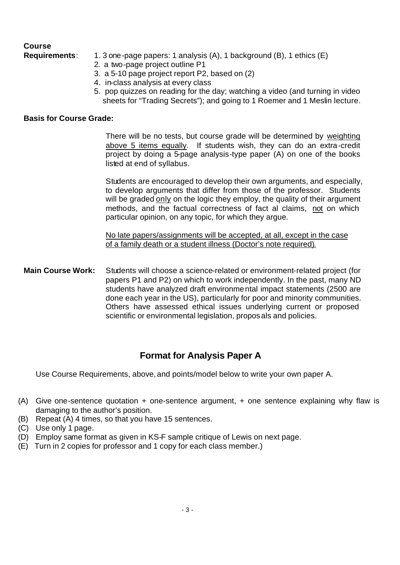# **Course**

- **Requirements**: 1. 3 one-page papers: 1 analysis (A), 1 background (B), 1 ethics (E)
	- 2. a two-page project outline P1
	- 3. a 5-10 page project report P2, based on (2)
	- 4. in-class analysis at every class
	- 5. pop quizzes on reading for the day; watching a video (and turning in video sheets for "Trading Secrets"); and going to 1 Roemer and 1 Meslin lecture.

# **Basis for Course Grade:**

There will be no tests, but course grade will be determined by weighting above 5 items equally. If students wish, they can do an extra-credit project by doing a 5-page analysis-type paper (A) on one of the books listed at end of syllabus.

Students are encouraged to develop their own arguments, and especially, to develop arguments that differ from those of the professor. Students will be graded only on the logic they employ, the quality of their argument methods, and the factual correctness of fact al claims, not on which particular opinion, on any topic, for which they argue.

No late papers/assignments will be accepted, at all, except in the case of a family death or a student illness (Doctor's note required).

**Main Course Work:** Students will choose a science-related or environment-related project (for papers P1 and P2) on which to work independently. In the past, many ND students have analyzed draft environmental impact statements (2500 are done each year in the US), particularly for poor and minority communities. Others have assessed ethical issues underlying current or proposed scientific or environmental legislation, proposals and policies.

# **Format for Analysis Paper A**

Use Course Requirements, above, and points/model below to write your own paper A.

- (A) Give one-sentence quotation + one-sentence argument, + one sentence explaining why flaw is damaging to the author's position.
- (B) Repeat (A) 4 times, so that you have 15 sentences.
- (C) Use only 1 page.
- (D) Employ same format as given in KS-F sample critique of Lewis on next page.
- (E) Turn in 2 copies for professor and 1 copy for each class member.)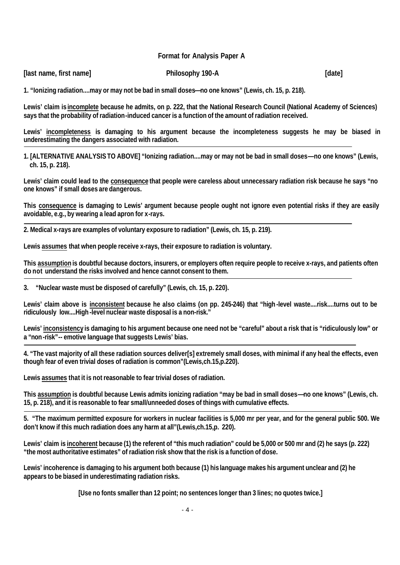**Format for Analysis Paper A**

| [last name, first name] | Philosophy 190-A | [date] |
|-------------------------|------------------|--------|
|                         |                  |        |

**1. "Ionizing radiation....may or may not be bad in small doses—no one knows" (Lewis, ch. 15, p. 218).**

**Lewis' claim is incomplete because he admits, on p. 222, that the National Research Council (National Academy of Sciences) says that the probability of radiation-induced cancer is a function of the amount of radiation received.**

**Lewis' incompleteness is damaging to his argument because the incompleteness suggests he may be biased in underestimating the dangers associated with radiation.**

**1. [ALTERNATIVE ANALYSIS TO ABOVE] "Ionizing radiation....may or may not be bad in small doses—no one knows" (Lewis, ch. 15, p. 218).** 

**Lewis' claim could lead to the consequence that people were careless about unnecessary radiation risk because he says "no one knows" if small doses are dangerous.**

**This consequence is damaging to Lewis' argument because people ought not ignore even potential risks if they are easily avoidable, e.g., by wearing a lead apron for x-rays.**

**2. Medical x-rays are examples of voluntary exposure to radiation" (Lewis, ch. 15, p. 219).**

**Lewis assumes that when people receive x-rays, their exposure to radiation is voluntary.**

**This assumption is doubtful because doctors, insurers, or employers often require people to receive x-rays, and patients often do not understand the risks involved and hence cannot consent to them.**

**3. "Nuclear waste must be disposed of carefully" (Lewis, ch. 15, p. 220).**

**Lewis' claim above is inconsistent because he also claims (on pp. 245-246) that "high-level waste....risk....turns out to be ridiculously low....High -level nuclear waste disposal is a non-risk."**

**Lewis' inconsistency is damaging to his argument because one need not be "careful" about a risk that is "ridiculously low" or a "non-risk"-- emotive language that suggests Lewis' bias.**

**4. "The vast majority of all these radiation sources deliver[s] extremely small doses, with minimal if any heal the effects, even though fear of even trivial doses of radiation is common"(Lewis,ch.15,p.220).** 

**Lewis assumes that it is not reasonable to fear trivial doses of radiation.**

**This assumption is doubtful because Lewis admits ionizing radiation "may be bad in small doses—no one knows" (Lewis, ch. 15, p. 218), and it is reasonable to fear small/unneeded doses of things with cumulative effects.**

**5. "The maximum permitted exposure for workers in nuclear facilities is 5,000 mr per year, and for the general public 500. We don't know if this much radiation does any harm at all"(Lewis,ch.15,p. 220).** 

**Lewis' claim is incoherent because (1) the referent of "this much radiation" could be 5,000 or 500 mr and (2) he says (p. 222) "the most authoritative estimates" of radiation risk show that the risk is a function of dose.**

**Lewis' incoherence is damaging to his argument both because (1) his language makes his argument unclear and (2) he appears to be biased in underestimating radiation risks.**

**[Use no fonts smaller than 12 point; no sentences longer than 3 lines; no quotes twice.]**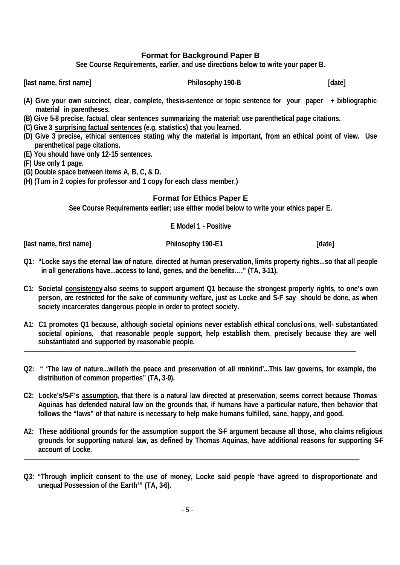# **Format for Background Paper B**

**See Course Requirements, earlier, and use directions below to write your paper B.**

**[last name, first name] Philosophy 190-B [date]**

- **(A) Give your own succinct, clear, complete, thesis-sentence or topic sentence for your paper + bibliographic material in parentheses.**
- **(B) Give 5-8 precise, factual, clear sentences summarizing the material; use parenthetical page citations.**
- **(C) Give 3 surprising factual sentences (e.g. statistics) that you learned.**
- **(D) Give 3 precise, ethical sentences stating why the material is important, from an ethical point of view. Use parenthetical page citations.**
- **(E) You should have only 12-15 sentences.**
- **(F) Use only 1 page.**
- **(G) Double space between items A, B, C, & D.**
- **(H) (Turn in 2 copies for professor and 1 copy for each class member.)**

#### **Format for Ethics Paper E**

**See Course Requirements earlier; use either model below to write your ethics paper E.**

**E Model 1 - Positive**

**[last name, first name] Philosophy 190-E1 [date]**

- **Q1: "Locke says the eternal law of nature, directed at human preservation, limits property rights...so that all people in all generations have...access to land, genes, and the benefits…." (TA, 3-11).**
- **C1: Societal consistency also seems to support argument Q1 because the strongest property rights, to one's own person, are restricted for the sake of community welfare, just as Locke and S-F say should be done, as when society incarcerates dangerous people in order to protect society.**
- **A1: C1 promotes Q1 because, although societal opinions never establish ethical conclusi ons, well- substantiated societal opinions, that reasonable people support, help establish them, precisely because they are well substantiated and supported by reasonable people.**
- **Q2: " 'The law of nature...willeth the peace and preservation of all mankind'...This law governs, for example, the distribution of common properties" (TA, 3-9).**
- **C2: Locke's/S-F's assumption, that there is a natural law directed at preservation, seems correct because Thomas Aquinas has defended natural law on the grounds that, if humans have a particular nature, then behavior that follows the "laws" of that nature is necessary to help make humans fulfilled, sane, happy, and good.**
- **A2: These additional grounds for the assumption support the S-F argument because all those, who claims religious grounds for supporting natural law, as defined by Thomas Aquinas, have additional reasons for supporting S-F account of Locke.**
- **Q3: "Through implicit consent to the use of money, Locke said people 'have agreed to disproportionate and unequal Possession of the Earth'" (TA, 3-6).**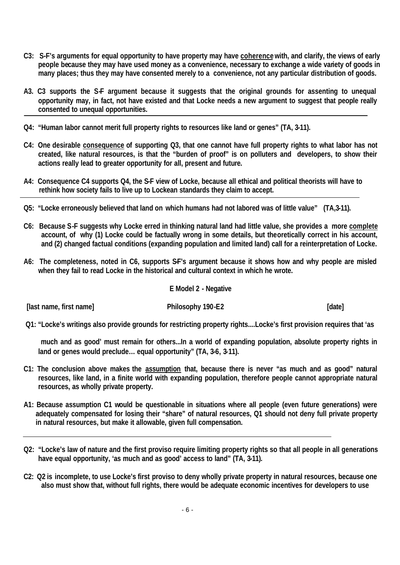- **C3: S-F's arguments for equal opportunity to have property may have coherence with, and clarify, the views of early people because they may have used money as a convenience, necessary to exchange a wide variety of goods in many places; thus they may have consented merely to a convenience, not any particular distribution of goods.**
- **A3. C3 supports the S-F argument because it suggests that the original grounds for assenting to unequal opportunity may, in fact, not have existed and that Locke needs a new argument to suggest that people really consented to unequal opportunities.**
- **Q4: "Human labor cannot merit full property rights to resources like land or genes" (TA, 3-11).**
- **C4: One desirable consequence of supporting Q3, that one cannot have full property rights to what labor has not created, like natural resources, is that the "burden of proof" is on polluters and developers, to show their actions really lead to greater opportunity for all, present and future.**
- **A4: Consequence C4 supports Q4, the S-F view of Locke, because all ethical and political theorists will have to rethink how society fails to live up to Lockean standards they claim to accept.**
- **Q5: "Locke erroneously believed that land on which humans had not labored was of little value" (TA,3-11).**
- **C6: Because S-F suggests why Locke erred in thinking natural land had little value, she provides a more complete account, of why (1) Locke could be factually wrong in some details, but theoretically correct in his account, and (2) changed factual conditions (expanding population and limited land) call for a reinterpretation of Locke.**
- A6: The completeness, noted in C6, supports SF's argument because it shows how and why people are misled **when they fail to read Locke in the historical and cultural context in which he wrote.**

# **E Model 2 - Negative**

**[last name, first name] Philosophy 190-E2 [date]**

 **Q1: "Locke's writings also provide grounds for restricting property rights....Locke's first provision requires that 'as** 

 **much and as good' must remain for others...In a world of expanding population, absolute property rights in land or genes would preclude… equal opportunity" (TA, 3-6, 3-11).**

- **C1: The conclusion above makes the assumption that, because there is never "as much and as good" natural resources, like land, in a finite world with expanding population, therefore people cannot appropriate natural resources, as wholly private property.**
- **A1: Because assumption C1 would be questionable in situations where all people (even future generations) were adequately compensated for losing their "share" of natural resources, Q1 should not deny full private property in natural resources, but make it allowable, given full compensation.**
- **Q2: "Locke's law of nature and the first proviso require limiting property rights so that all people in all generations have equal opportunity, 'as much and as good' access to land" (TA, 3-11).**
- **C2: Q2 is incomplete, to use Locke's first proviso to deny wholly private property in natural resources, because one also must show that, without full rights, there would be adequate economic incentives for developers to use**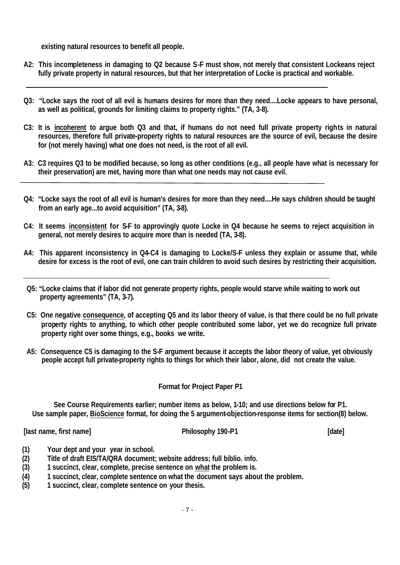**existing natural resources to benefit all people.**

- **A2: This incompleteness in damaging to Q2 because S-F must show, not merely that consistent Lockeans reject fully private property in natural resources, but that her interpretation of Locke is practical and workable.**
- **Q3: "Locke says the root of all evil is humans desires for more than they need....Locke appears to have personal, as well as political, grounds for limiting claims to property rights." (TA, 3-8).**
- **C3: It is incoherent to argue both Q3 and that, if humans do not need full private property rights in natural resources, therefore full private-property rights to natural resources are the source of evil, because the desire for (not merely having) what one does not need, is the root of all evil.**
- **A3: C3 requires Q3 to be modified because, so long as other conditions (e.g., all people have what is necessary for their preservation) are met, having more than what one needs may not cause evil.**
- **Q4: "Locke says the root of all evil is human's desires for more than they need....He says children should be taught from an early age...to avoid acquisition" (TA, 3-8).**
- **C4: It seems inconsistent for S-F to approvingly quote Locke in Q4 because he seems to reject acquisition in general, not merely desires to acquire more than is needed (TA, 3-8).**
- **A4: This apparent inconsistency in Q4-C4 is damaging to Locke/S-F unless they explain or assume that, while desire for excess is the root of evil, one can train children to avoid such desires by restricting their acquisition.**
- **Q5: "Locke claims that if labor did not generate property rights, people would starve while waiting to work out property agreements" (TA, 3-7).**
- **C5: One negative consequence, of accepting Q5 and its labor theory of value, is that there could be no full private property rights to anything, to which other people contributed some labor, yet we do recognize full private property right over some things, e.g., books we write.**
- **A5: Consequence C5 is damaging to the S-F argument because it accepts the labor theory of value, yet obviously people accept full private-property rights to things for which their labor, alone, did not create the value.**

# **Format for Project Paper P1**

**See Course Requirements earlier; number items as below, 1-10; and use directions below for P1. Use sample paper, BioScience format, for doing the 5 argument-objection-response items for section(8) below.**

**[last name, first name] Philosophy 190-P1 [date]**

- **(1) Your dept and your year in school.**
- **(2) Title of draft EIS/TA/QRA document; website address; full biblio. info.**
- **(3) 1 succinct, clear, complete, precise sentence on what the problem is.**
- **(4) 1 succinct, clear, complete sentence on what the document says about the problem.**
- **(5) 1 succinct, clear, complete sentence on your thesis.**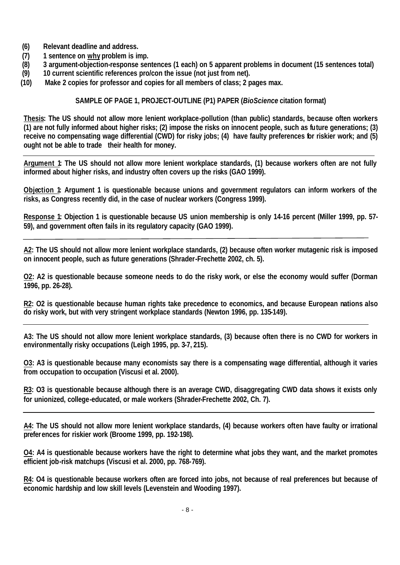- **(6) Relevant deadline and address.**
- **(7) 1 sentence on why problem is imp.**
- **(8) 3 argument-objection-response sentences (1 each) on 5 apparent problems in document (15 sentences total)**
- **(9) 10 current scientific references pro/con the issue (not just from net).**
- **(10) Make 2 copies for professor and copies for all members of class; 2 pages max.**

## **SAMPLE OF PAGE 1, PROJECT-OUTLINE (P1) PAPER (***BioScience* **citation format)**

**Thesis: The US should not allow more lenient workplace-pollution (than public) standards, because often workers (1) are not fully informed about higher risks; (2) impose the risks on innocent people, such as future generations; (3) receive no compensating wage differential (CWD) for risky jobs; (4) have faulty preferences for riskier work; and (5) ought not be able to trade their health for money.**

**Argument 1: The US should not allow more lenient workplace standards, (1) because workers often are not fully informed about higher risks, and industry often covers up the risks (GAO 1999).**

**Objection 1: Argument 1 is questionable because unions and government regulators can inform workers of the risks, as Congress recently did, in the case of nuclear workers (Congress 1999).**

**Response 1: Objection 1 is questionable because US union membership is only 14-16 percent (Miller 1999, pp. 57- 59), and government often fails in its regulatory capacity (GAO 1999).**

**A2: The US should not allow more lenient workplace standards, (2) because often worker mutagenic risk is imposed on innocent people, such as future generations (Shrader-Frechette 2002, ch. 5).**

**O2: A2 is questionable because someone needs to do the risky work, or else the economy would suffer (Dorman 1996, pp. 26-28).**

**R2: O2 is questionable because human rights take precedence to economics, and because European nations also do risky work, but with very stringent workplace standards (Newton 1996, pp. 135-149).**

**A3: The US should not allow more lenient workplace standards, (3) because often there is no CWD for workers in environmentally risky occupations (Leigh 1995, pp. 3-7, 215).**

**O3: A3 is questionable because many economists say there is a compensating wage differential, although it varies from occupation to occupation (Viscusi et al. 2000).**

**R3: O3 is questionable because although there is an average CWD, disaggregating CWD data shows it exists only for unionized, college-educated, or male workers (Shrader-Frechette 2002, Ch. 7).**

**A4: The US should not allow more lenient workplace standards, (4) because workers often have faulty or irrational preferences for riskier work (Broome 1999, pp. 192-198).**

**O4: A4 is questionable because workers have the right to determine what jobs they want, and the market promotes efficient job-risk matchups (Viscusi et al. 2000, pp. 768-769).**

**R4: O4 is questionable because workers often are forced into jobs, not because of real preferences but because of economic hardship and low skill levels (Levenstein and Wooding 1997).**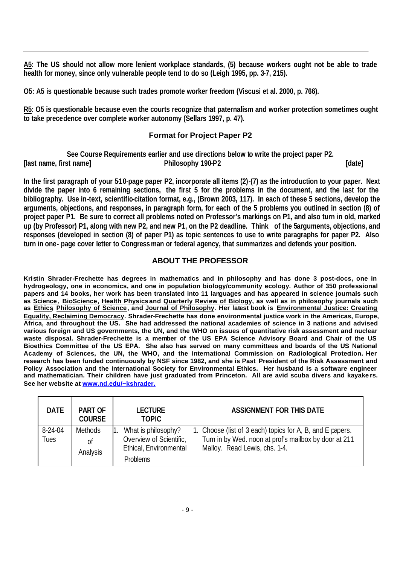**A5: The US should not allow more lenient workplace standards, (5) because workers ought not be able to trade health for money, since only vulnerable people tend to do so (Leigh 1995, pp. 3-7, 215).**

**O5: A5 is questionable because such trades promote worker freedom (Viscusi et al. 2000, p. 766).**

**R5: O5 is questionable because even the courts recognize that paternalism and worker protection sometimes ought to take precedence over complete worker autonomy (Sellars 1997, p. 47).**

# **Format for Project Paper P2**

**See Course Requirements earlier and use directions below to write the project paper P2. [last name, first name] Philosophy 190-P2 [date]**

**In the first paragraph of your 5-10-page paper P2, incorporate all items (2)-(7) as the introduction to your paper. Next divide the paper into 6 remaining sections, the first 5 for the problems in the document, and the last for the bibliography. Use in-text, scientific-citation format, e.g., (Brown 2003, 117). In each of these 5 sections, develop the arguments, objections, and responses, in paragraph form, for each of the 5 problems you outlined in section (8) of project paper P1. Be sure to correct all problems noted on Professor's markings on P1, and also turn in old, marked up (by Professor) P1, along with new P2, and new P1, on the P2 deadline. Think of the 5arguments, objections, and responses (developed in section (8) of paper P1) as topic sentences to use to write paragraphs for paper P2. Also turn in one- page cover letter to Congressman or federal agency, that summarizes and defends your position.**

#### **ABOUT THE PROFESSOR**

**Kristin Shrader-Frechette has degrees in mathematics and in philosophy and has done 3 post-docs, one in hydrogeology, one in economics, and one in population biology/community ecology. Author of 350 professional papers and 14 books, her work has been translated into 11 languages and has appeared in science journals such as Science , BioScience, Health Physics and Quarterly Review of Biology, as well as in philosophy journals such as Ethics, Philosophy of Science, and Journal of Philosophy. Her latest book is Environmental Justice: Creating Equality, Reclaiming Democracy. Shrader-Frechette has done environmental justice work in the Americas, Europe, Africa, and throughout the US. She had addressed the national academies of science in 3 nations and advised various foreign and US governments, the UN, and the WHO on issues of quantitative risk assessment and nuclear waste disposal. Shrader-Frechette is a member of the US EPA Science Advisory Board and Chair of the US Bioethics Committee of the US EPA. She also has served on many committees and boards of the US National Academy of Sciences, the UN, the WHO, and the International Commission on Radiological Protection. Her research has been funded continuously by NSF since 1982, and she is Past President of the Risk Assessment and Policy Association and the International Society for Environmental Ethics. Her husband is a software engineer and mathematician. Their children have just graduated from Princeton. All are avid scuba divers and kayake rs. See her website at www.nd.edu/~kshrader.**

| <b>DATE</b>       | <b>PART OF</b><br><b>COURSE</b> | <b>LECTURE</b><br><b>TOPIC</b>                 | <b>ASSIGNMENT FOR THIS DATE</b>                                                                                                                     |
|-------------------|---------------------------------|------------------------------------------------|-----------------------------------------------------------------------------------------------------------------------------------------------------|
| $8-24-04$<br>Tues | <b>Methods</b><br>Οf            | What is philosophy?<br>Overview of Scientific, | 1. Choose (list of 3 each) topics for A, B, and E papers.<br>Turn in by Wed. noon at prof's mailbox by door at 211<br>Malloy. Read Lewis, chs. 1-4. |
|                   | Analysis                        | Ethical, Environmental<br><b>Problems</b>      |                                                                                                                                                     |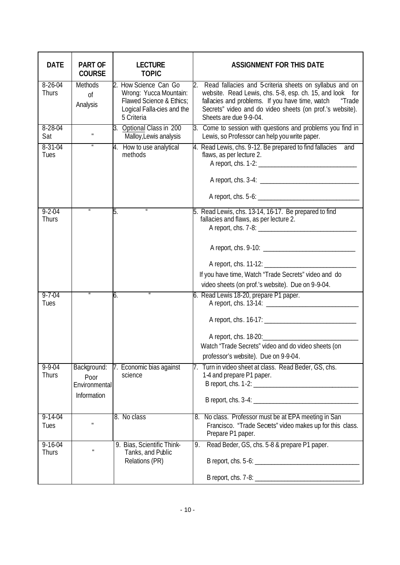| <b>DATE</b>                   | <b>PART OF</b><br><b>COURSE</b>                     | <b>LECTURE</b><br><b>TOPIC</b>                                                                                          | <b>ASSIGNMENT FOR THIS DATE</b>                                                                                                                                                                                                                                           |
|-------------------------------|-----------------------------------------------------|-------------------------------------------------------------------------------------------------------------------------|---------------------------------------------------------------------------------------------------------------------------------------------------------------------------------------------------------------------------------------------------------------------------|
| $8 - 26 - 04$<br>Thurs        | Methods<br><sub>Of</sub><br>Analysis                | 2. How Science Can Go<br>Wrong: Yucca Mountain:<br>Flawed Science & Ethics;<br>Logical Falla-cies and the<br>5 Criteria | 2.<br>Read fallacies and 5-criteria sheets on syllabus and on<br>website. Read Lewis, chs. 5-8, esp. ch. 15, and look for<br>fallacies and problems. If you have time, watch "Trade<br>Secrets" video and do video sheets (on prof.'s website).<br>Sheets are due 9-9-04. |
| $8 - 28 - 04$<br>Sat          | $\mathbf{u}$                                        | 3. Optional Class in 200<br>Malloy, Lewis analysis                                                                      | 3. Come to session with questions and problems you find in<br>Lewis, so Professor can help you write paper.                                                                                                                                                               |
| $8 - 31 - 04$<br>Tues         | $\pmb{\mathit{u}}$                                  | 4. How to use analytical<br>methods                                                                                     | 4. Read Lewis, chs. 9-12. Be prepared to find fallacies and<br>flaws, as per lecture 2.                                                                                                                                                                                   |
| $9 - 2 - 04$<br><b>Thurs</b>  |                                                     | 5.                                                                                                                      | 5. Read Lewis, chs. 13-14, 16-17. Be prepared to find<br>fallacies and flaws, as per lecture 2.                                                                                                                                                                           |
|                               |                                                     |                                                                                                                         | If you have time, Watch "Trade Secrets" video and do<br>video sheets (on prof.'s website). Due on 9-9-04.                                                                                                                                                                 |
| $9 - 7 - 04$<br>Tues          |                                                     | 6.                                                                                                                      | 6. Read Lewis 18-20, prepare P1 paper.<br>Watch "Trade Secrets" video and do video sheets (on<br>professor's website). Due on 9-9-04.                                                                                                                                     |
| $9 - 9 - 04$<br><b>Thurs</b>  | Background:<br>Poor<br>Environmental<br>Information | 7. Economic bias against<br>science                                                                                     | 7. Turn in video sheet at class. Read Beder, GS, chs.<br>1-4 and prepare P1 paper.                                                                                                                                                                                        |
| $9 - 14 - 04$<br>Tues         | $\mathbf{u}$                                        | 8. No class                                                                                                             | 8. No class. Professor must be at EPA meeting in San<br>Francisco. "Trade Secrets" video makes up for this class.<br>Prepare P1 paper.                                                                                                                                    |
| $9 - 16 - 04$<br><b>Thurs</b> | $\mathbf{u}$                                        | 9. Bias, Scientific Think-<br>Tanks, and Public<br>Relations (PR)                                                       | Read Beder, GS, chs. 5-8 & prepare P1 paper.<br>9.                                                                                                                                                                                                                        |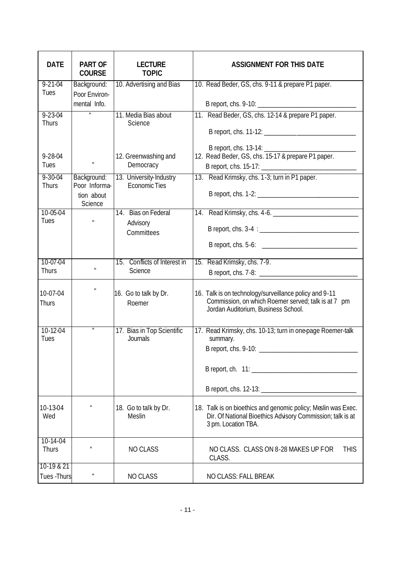| <b>DATE</b>                | <b>PART OF</b><br><b>COURSE</b> | <b>LECTURE</b><br><b>TOPIC</b>    | <b>ASSIGNMENT FOR THIS DATE</b>                                                                                                                      |
|----------------------------|---------------------------------|-----------------------------------|------------------------------------------------------------------------------------------------------------------------------------------------------|
| $9 - 21 - 04$              | Background:                     | 10. Advertising and Bias          | 10. Read Beder, GS, chs. 9-11 & prepare P1 paper.                                                                                                    |
| Tues                       | Poor Environ-<br>mental Info.   |                                   |                                                                                                                                                      |
| $9 - 23 - 04$<br>Thurs     |                                 | 11. Media Bias about<br>Science   | 11. Read Beder, GS, chs. 12-14 & prepare P1 paper.                                                                                                   |
|                            |                                 |                                   |                                                                                                                                                      |
|                            |                                 |                                   |                                                                                                                                                      |
| $9 - 28 - 04$<br>Tues      | $\mathbf{u}$                    | 12. Greenwashing and<br>Democracy | 12. Read Beder, GS, chs. 15-17 & prepare P1 paper.                                                                                                   |
| $9 - 30 - 04$              | Background:                     | 13. University-Industry           | 13. Read Krimsky, chs. 1-3; turn in P1 paper.                                                                                                        |
| Thurs                      | Poor Informa-                   | Economic Ties                     |                                                                                                                                                      |
|                            | tion about<br>Science           |                                   |                                                                                                                                                      |
| $10 - 05 - 04$             |                                 | 14. Bias on Federal               |                                                                                                                                                      |
| Tues                       | $\mathbf{u}$                    | Advisory<br>Committees            |                                                                                                                                                      |
|                            |                                 |                                   |                                                                                                                                                      |
| 10-07-04                   |                                 | 15. Conflicts of Interest in      | 15. Read Krimsky, chs. 7-9.                                                                                                                          |
| Thurs                      | H.                              | Science                           |                                                                                                                                                      |
| 10-07-04<br>Thurs          | $\mathbf u$                     | 16. Go to talk by Dr.<br>Roemer   | 16. Talk is on technology/surveillance policy and 9-11<br>Commission, on which Roemer served; talk is at 7 pm<br>Jordan Auditorium, Business School. |
| 10-12-04                   |                                 | 17. Bias in Top Scientific        | 17. Read Krimsky, chs. 10-13; turn in one-page Roemer-talk                                                                                           |
| Tues                       |                                 | Journals                          | summary.<br>B report, chs. 9-10:                                                                                                                     |
|                            |                                 |                                   |                                                                                                                                                      |
|                            |                                 |                                   |                                                                                                                                                      |
|                            |                                 |                                   |                                                                                                                                                      |
| 10-13-04<br>Wed            | $\mathbf{u}$                    | 18. Go to talk by Dr.<br>Meslin   | 18. Talk is on bioethics and genomic policy; Meslin was Exec.<br>Dir. Of National Bioethics Advisory Commission; talk is at<br>3 pm. Location TBA.   |
| $10 - 14 - 04$<br>Thurs    | $\boldsymbol{u}$                | <b>NO CLASS</b>                   | NO CLASS. CLASS ON 8-28 MAKES UP FOR<br><b>THIS</b><br>CLASS.                                                                                        |
| 10-19 & 21<br>Tues - Thurs | $\mathbf{H}$                    | NO CLASS                          | NO CLASS: FALL BREAK                                                                                                                                 |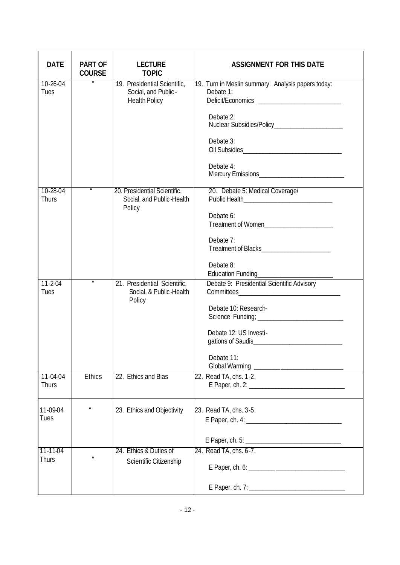| <b>DATE</b>              | <b>PART OF</b><br><b>COURSE</b> | <b>LECTURE</b><br><b>TOPIC</b>                                               | <b>ASSIGNMENT FOR THIS DATE</b>                                                                                                                |
|--------------------------|---------------------------------|------------------------------------------------------------------------------|------------------------------------------------------------------------------------------------------------------------------------------------|
| 10-26-04<br>Tues         | π                               | 19. Presidential Scientific,<br>Social, and Public -<br><b>Health Policy</b> | 19. Turn in Meslin summary. Analysis papers today:<br>Debate 1:<br>Debate 2:<br>Debate 3:<br>Debate 4:                                         |
| 10-28-04<br><b>Thurs</b> | $\boldsymbol{\mathit{u}}$       | 20. Presidential Scientific,<br>Social, and Public-Health<br>Policy          | 20. Debate 5: Medical Coverage/<br>Public Health_________________________________<br>Debate 6:<br>Treatment of Women<br>Debate 7:<br>Debate 8: |
| $11 - 2 - 04$<br>Tues    |                                 | 21. Presidential Scientific,<br>Social, & Public-Health<br>Policy            | Debate 9: Presidential Scientific Advisory<br>Debate 10: Research-<br>Debate 12: US Investi-<br>Debate 11:                                     |
| 11-04-04<br>Thurs        | <b>Ethics</b>                   | 22. Ethics and Bias                                                          | 22. Read TA, chs. 1-2.                                                                                                                         |
| 11-09-04<br>Tues         | $\mathbf{u}$                    | 23. Ethics and Objectivity                                                   | 23. Read TA, chs. 3-5.<br>$E$ Paper, ch. 5:                                                                                                    |
| $11 - 11 - 04$<br>Thurs  |                                 | 24. Ethics & Duties of<br>Scientific Citizenship                             | 24. Read TA, chs. 6-7.                                                                                                                         |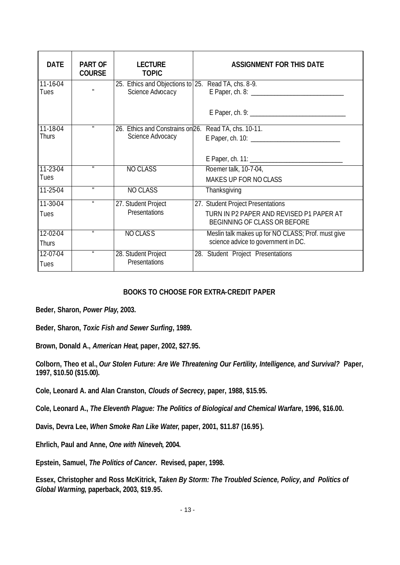| <b>DATE</b>              | <b>PART OF</b><br><b>COURSE</b> | <b>LECTURE</b><br><b>TOPIC</b>                                          | <b>ASSIGNMENT FOR THIS DATE</b>                                                                               |
|--------------------------|---------------------------------|-------------------------------------------------------------------------|---------------------------------------------------------------------------------------------------------------|
| $11 - 16 - 04$<br>Tues   | $\mathbf{u}$                    | 25. Ethics and Objections to 25. Read TA, chs. 8-9.<br>Science Advocacy |                                                                                                               |
|                          |                                 |                                                                         |                                                                                                               |
| 11-18-04<br><b>Thurs</b> |                                 | 26. Ethics and Constrains on 26.<br>Science Advocacy                    | Read TA, chs. 10-11.                                                                                          |
|                          |                                 |                                                                         |                                                                                                               |
| 11-23-04<br>Tues         |                                 | <b>NO CLASS</b>                                                         | Roemer talk, 10-7-04,<br>MAKES UP FOR NO CLASS                                                                |
| $11 - 25 - 04$           | $\overline{u}$                  | <b>NO CLASS</b>                                                         | Thanksgiving                                                                                                  |
| 11-30-04<br>Tues         | $\boldsymbol{u}$                | 27. Student Project<br>Presentations                                    | 27. Student Project Presentations<br>TURN IN P2 PAPER AND REVISED P1 PAPER AT<br>BEGINNING OF CLASS OR BEFORE |
| 12-02-04<br><b>Thurs</b> | $\boldsymbol{u}$                | NO CLASS                                                                | Meslin talk makes up for NO CLASS; Prof. must give<br>science advice to government in DC.                     |
| 12-07-04<br>Tues         | $\boldsymbol{u}$                | 28. Student Project<br>Presentations                                    | 28. Student Project Presentations                                                                             |

# **BOOKS TO CHOOSE FOR EXTRA-CREDIT PAPER**

**Beder, Sharon,** *Power Play***, 2003.**

**Beder, Sharon,** *Toxic Fish and Sewer Surfing***, 1989.**

**Brown, Donald A.,** *American Heat***, paper, 2002, \$27.95.**

**Colborn, Theo et al.,** *Our Stolen Future: Are We Threatening Our Fertility, Intelligence, and Survival?* **Paper, 1997, \$10.50 (\$15.00).**

**Cole, Leonard A. and Alan Cranston,** *Clouds of Secrecy***, paper, 1988, \$15.95.**

**Cole, Leonard A.,** *The Eleventh Plague: The Politics of Biological and Chemical Warfare***, 1996, \$16.00.**

**Davis, Devra Lee,** *When Smoke Ran Like Water***, paper, 2001, \$11.87 (16.95 ).**

**Ehrlich, Paul and Anne,** *One with Nineveh***, 2004.**

**Epstein, Samuel,** *The Politics of Cancer***. Revised, paper, 1998.**

**Essex, Christopher and Ross McKitrick,** *Taken By Storm: The Troubled Science, Policy, and Politics of Global Warming***, paperback, 2003, \$19.95.**